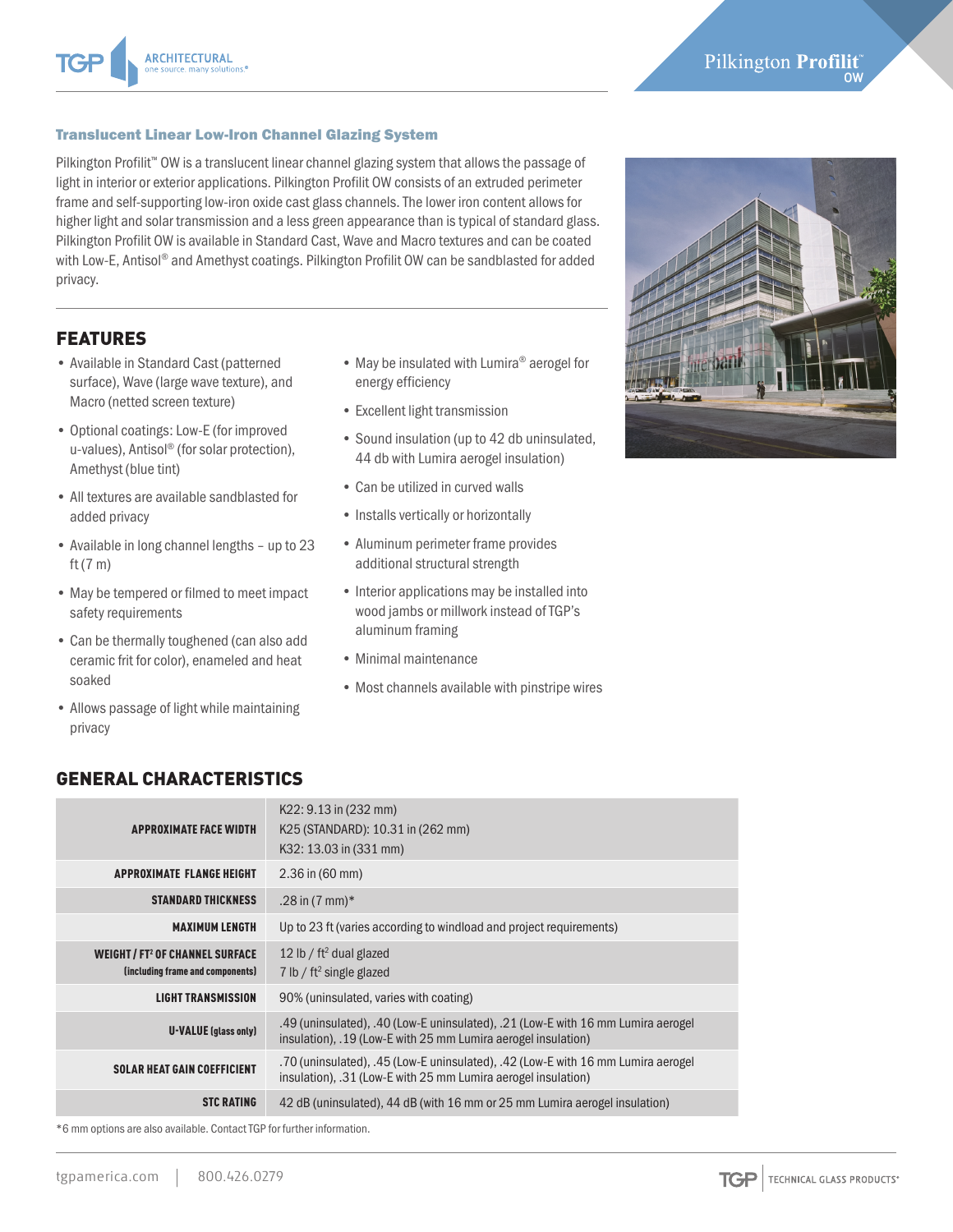\*6 mm options are also available. Contact TGP for further information.

#### Translucent Linear Low-Iron Channel Glazing System

ARCHITECTURAL

Pilkington Profilit<sup>™</sup> OW is a translucent linear channel glazing system that allows the passage of light in interior or exterior applications. Pilkington Profilit OW consists of an extruded perimeter frame and self-supporting low-iron oxide cast glass channels. The lower iron content allows for higher light and solar transmission and a less green appearance than is typical of standard glass. Pilkington Profilit OW is available in Standard Cast, Wave and Macro textures and can be coated with Low-E, Antisol® and Amethyst coatings. Pilkington Profilit OW can be sandblasted for added privacy.

# FEATURES

- Available in Standard Cast (patterned surface), Wave (large wave texture), and Macro (netted screen texture)
- Optional coatings: Low-E (for improved u-values), Antisol® (for solar protection), Amethyst (blue tint)
- All textures are available sandblasted for added privacy
- Available in long channel lengths up to 23 ft (7 m)
- May be tempered or filmed to meet impact safety requirements
- Can be thermally toughened (can also add ceramic frit for color), enameled and heat soaked
- Allows passage of light while maintaining privacy
- May be insulated with Lumira® aerogel for energy efficiency
- Excellent light transmission
- Sound insulation (up to 42 db uninsulated, 44 db with Lumira aerogel insulation)
- Can be utilized in curved walls
- Installs vertically or horizontally
- Aluminum perimeter frame provides additional structural strength
- Interior applications may be installed into wood jambs or millwork instead of TGP's aluminum framing
- Minimal maintenance
- Most channels available with pinstripe wires



### GENERAL CHARACTERISTICS

| <b>APPROXIMATE FACE WIDTH</b>                                                       | $K22: 9.13$ in (232 mm)<br>K25 (STANDARD): 10.31 in (262 mm)<br>K32: 13.03 in (331 mm)                                                            |  |  |  |
|-------------------------------------------------------------------------------------|---------------------------------------------------------------------------------------------------------------------------------------------------|--|--|--|
| <b>APPROXIMATE FLANGE HEIGHT</b>                                                    | $2.36$ in (60 mm)                                                                                                                                 |  |  |  |
| <b>STANDARD THICKNESS</b>                                                           | .28 in $(7 \text{ mm})*$                                                                                                                          |  |  |  |
| <b>MAXIMUM LENGTH</b>                                                               | Up to 23 ft (varies according to windload and project requirements)                                                                               |  |  |  |
| <b>WEIGHT/FT<sup>2</sup> OF CHANNEL SURFACE</b><br>(including frame and components) | 12 lb / $ft^2$ dual glazed<br>7 lb / $ft^2$ single glazed                                                                                         |  |  |  |
| <b>LIGHT TRANSMISSION</b>                                                           | 90% (uninsulated, varies with coating)                                                                                                            |  |  |  |
| <b>U-VALUE</b> (glass only)                                                         | .49 (uninsulated), .40 (Low-E uninsulated), .21 (Low-E with 16 mm Lumira aerogel<br>insulation), .19 (Low-E with 25 mm Lumira aerogel insulation) |  |  |  |
| <b>SOLAR HEAT GAIN COEFFICIENT</b>                                                  | .70 (uninsulated), .45 (Low-E uninsulated), .42 (Low-E with 16 mm Lumira aerogel<br>insulation), .31 (Low-E with 25 mm Lumira aerogel insulation) |  |  |  |
| <b>STC RATING</b>                                                                   | 42 dB (uninsulated), 44 dB (with 16 mm or 25 mm Lumira aerogel insulation)                                                                        |  |  |  |

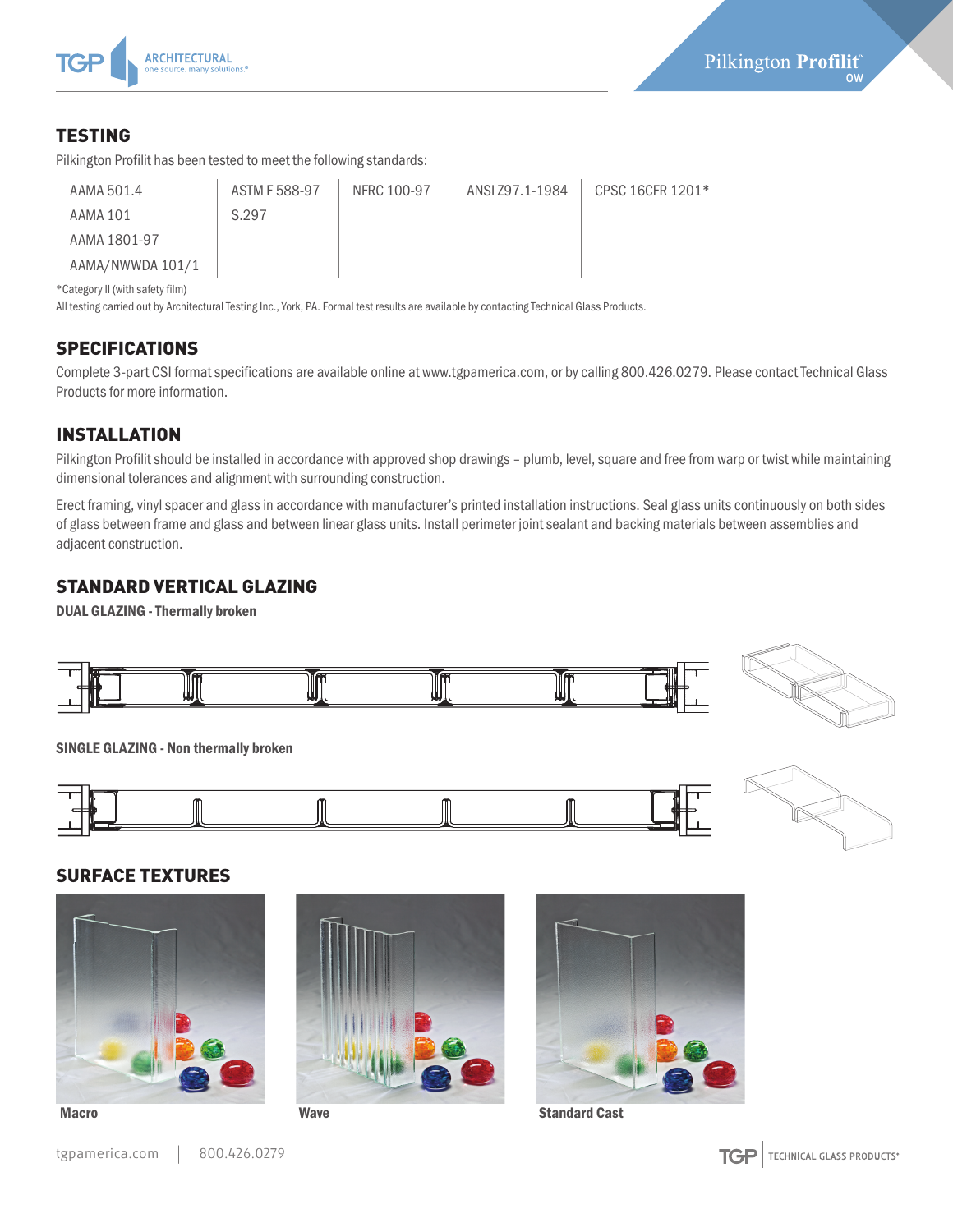

# TESTING

Pilkington Profilit has been tested to meet the following standards:

| AAMA 501.4       | ASTM F 588-97 | NFRC 100-97 | ANSI Z97.1-1984 | CPSC 16CFR 1201* |
|------------------|---------------|-------------|-----------------|------------------|
| AAMA 101         | S.297         |             |                 |                  |
| AAMA 1801-97     |               |             |                 |                  |
| AAMA/NWWDA 101/1 |               |             |                 |                  |

\*Category II (with safety film)

All testing carried out by Architectural Testing Inc., York, PA. Formal test results are available by contacting Technical Glass Products.

### **SPECIFICATIONS**

Complete 3-part CSI format specifications are available online at www.tgpamerica.com, or by calling 800.426.0279. Please contact Technical Glass Products for more information.

# INSTALLATION

Pilkington Profilit should be installed in accordance with approved shop drawings – plumb, level, square and free from warp or twist while maintaining dimensional tolerances and alignment with surrounding construction.

Erect framing, vinyl spacer and glass in accordance with manufacturer's printed installation instructions. Seal glass units continuously on both sides of glass between frame and glass and between linear glass units. Install perimeter joint sealant and backing materials between assemblies and adjacent construction.

### STANDARD VERTICAL GLAZING

DUAL GLAZING - Thermally broken





SINGLE GLAZING - Non thermally broken





### SURFACE TEXTURES